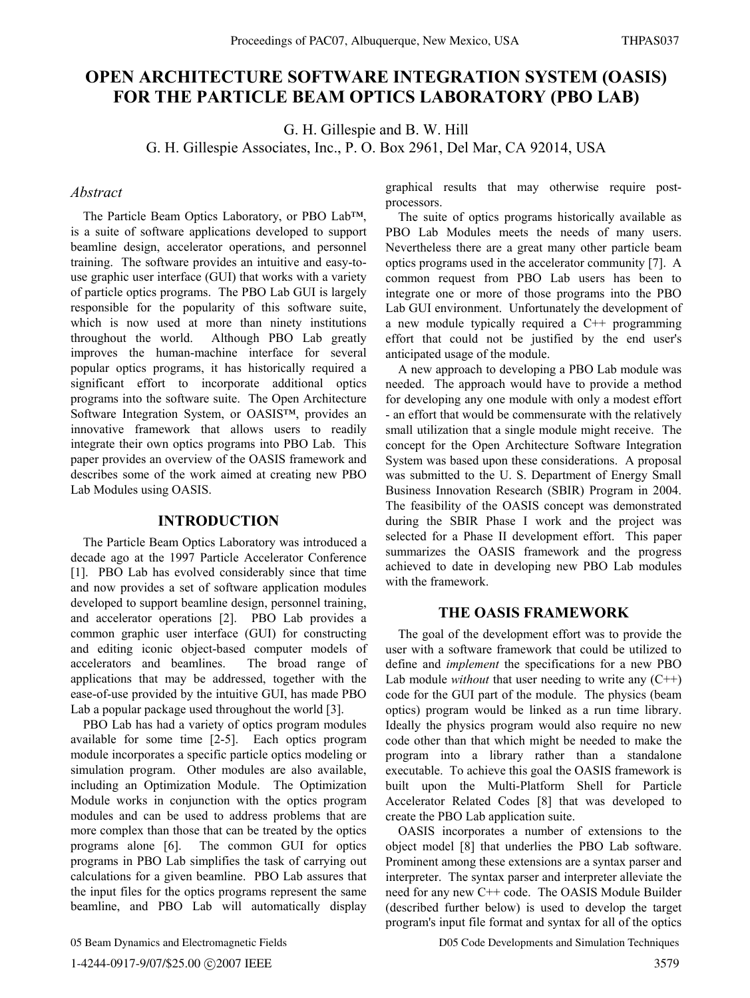# **OPEN ARCHITECTURE SOFTWARE INTEGRATION SYSTEM (OASIS) FOR THE PARTICLE BEAM OPTICS LABORATORY (PBO LAB)**

G. H. Gillespie and B. W. Hill G. H. Gillespie Associates, Inc., P. O. Box 2961, Del Mar, CA 92014, USA

#### *Abstract*

The Particle Beam Optics Laboratory, or PBO Lab™, is a suite of software applications developed to support beamline design, accelerator operations, and personnel training. The software provides an intuitive and easy-touse graphic user interface (GUI) that works with a variety of particle optics programs. The PBO Lab GUI is largely responsible for the popularity of this software suite, which is now used at more than ninety institutions throughout the world. Although PBO Lab greatly improves the human-machine interface for several popular optics programs, it has historically required a significant effort to incorporate additional optics programs into the software suite. The Open Architecture Software Integration System, or OASIS™, provides an innovative framework that allows users to readily integrate their own optics programs into PBO Lab. This paper provides an overview of the OASIS framework and describes some of the work aimed at creating new PBO Lab Modules using OASIS.

## **INTRODUCTION**

The Particle Beam Optics Laboratory was introduced a decade ago at the 1997 Particle Accelerator Conference [1]. PBO Lab has evolved considerably since that time and now provides a set of software application modules developed to support beamline design, personnel training, and accelerator operations [2]. PBO Lab provides a common graphic user interface (GUI) for constructing and editing iconic object-based computer models of accelerators and beamlines. The broad range of applications that may be addressed, together with the ease-of-use provided by the intuitive GUI, has made PBO Lab a popular package used throughout the world [3].

PBO Lab has had a variety of optics program modules available for some time [2-5]. Each optics program module incorporates a specific particle optics modeling or simulation program. Other modules are also available, including an Optimization Module. The Optimization Module works in conjunction with the optics program modules and can be used to address problems that are more complex than those that can be treated by the optics programs alone [6]. The common GUI for optics programs in PBO Lab simplifies the task of carrying out calculations for a given beamline. PBO Lab assures that the input files for the optics programs represent the same beamline, and PBO Lab will automatically display graphical results that may otherwise require postprocessors.

The suite of optics programs historically available as PBO Lab Modules meets the needs of many users. Nevertheless there are a great many other particle beam optics programs used in the accelerator community [7]. A common request from PBO Lab users has been to integrate one or more of those programs into the PBO Lab GUI environment. Unfortunately the development of a new module typically required a C++ programming effort that could not be justified by the end user's anticipated usage of the module.

A new approach to developing a PBO Lab module was needed. The approach would have to provide a method for developing any one module with only a modest effort - an effort that would be commensurate with the relatively small utilization that a single module might receive. The concept for the Open Architecture Software Integration System was based upon these considerations. A proposal was submitted to the U. S. Department of Energy Small Business Innovation Research (SBIR) Program in 2004. The feasibility of the OASIS concept was demonstrated during the SBIR Phase I work and the project was selected for a Phase II development effort. This paper summarizes the OASIS framework and the progress achieved to date in developing new PBO Lab modules with the framework.

#### **THE OASIS FRAMEWORK**

The goal of the development effort was to provide the user with a software framework that could be utilized to define and *implement* the specifications for a new PBO Lab module *without* that user needing to write any  $(C^{++})$ code for the GUI part of the module. The physics (beam optics) program would be linked as a run time library. Ideally the physics program would also require no new code other than that which might be needed to make the program into a library rather than a standalone executable. To achieve this goal the OASIS framework is built upon the Multi-Platform Shell for Particle Accelerator Related Codes [8] that was developed to create the PBO Lab application suite.

OASIS incorporates a number of extensions to the object model [8] that underlies the PBO Lab software. Prominent among these extensions are a syntax parser and interpreter. The syntax parser and interpreter alleviate the need for any new C++ code. The OASIS Module Builder (described further below) is used to develop the target program's input file format and syntax for all of the optics

D05 Code Developments and Simulation Techniques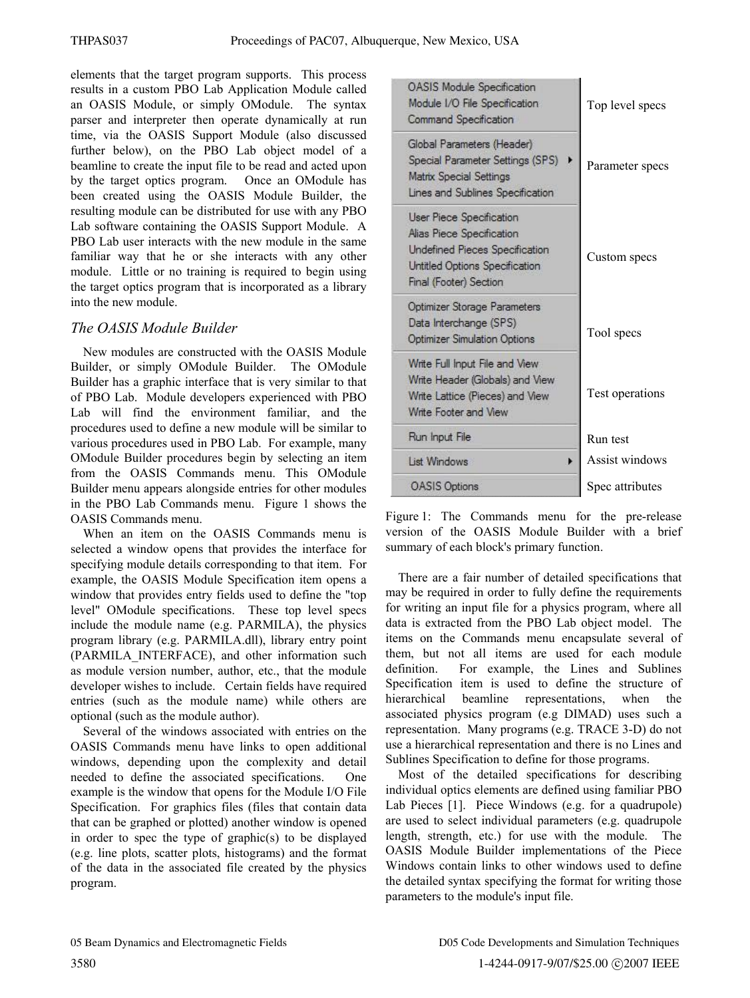elements that the target program supports. This process results in a custom PBO Lab Application Module called an OASIS Module, or simply OModule. The syntax parser and interpreter then operate dynamically at run time, via the OASIS Support Module (also discussed further below), on the PBO Lab object model of a beamline to create the input file to be read and acted upon by the target optics program. Once an OModule has been created using the OASIS Module Builder, the resulting module can be distributed for use with any PBO Lab software containing the OASIS Support Module. A PBO Lab user interacts with the new module in the same familiar way that he or she interacts with any other module. Little or no training is required to begin using the target optics program that is incorporated as a library into the new module.

# *The OASIS Module Builder*

New modules are constructed with the OASIS Module Builder, or simply OModule Builder. The OModule Builder has a graphic interface that is very similar to that of PBO Lab. Module developers experienced with PBO Lab will find the environment familiar, and the procedures used to define a new module will be similar to various procedures used in PBO Lab. For example, many OModule Builder procedures begin by selecting an item from the OASIS Commands menu. This OModule Builder menu appears alongside entries for other modules in the PBO Lab Commands menu. Figure 1 shows the OASIS Commands menu.

When an item on the OASIS Commands menu is selected a window opens that provides the interface for specifying module details corresponding to that item. For example, the OASIS Module Specification item opens a window that provides entry fields used to define the "top level" OModule specifications. These top level specs include the module name (e.g. PARMILA), the physics program library (e.g. PARMILA.dll), library entry point (PARMILA\_INTERFACE), and other information such as module version number, author, etc., that the module developer wishes to include. Certain fields have required entries (such as the module name) while others are optional (such as the module author).

Several of the windows associated with entries on the OASIS Commands menu have links to open additional windows, depending upon the complexity and detail needed to define the associated specifications. One example is the window that opens for the Module I/O File Specification. For graphics files (files that contain data that can be graphed or plotted) another window is opened in order to spec the type of graphic(s) to be displayed (e.g. line plots, scatter plots, histograms) and the format of the data in the associated file created by the physics program.

| <b>OASIS Module Specification</b><br>Module I/O File Specification<br>Command Specification                                                         | Top level specs |
|-----------------------------------------------------------------------------------------------------------------------------------------------------|-----------------|
| Global Parameters (Header)<br>Special Parameter Settings (SPS)<br><b>Matrix Special Settings</b><br>Lines and Sublines Specification                | Parameter specs |
| User Piece Specification<br>Alias Piece Specification<br>Undefined Pieces Specification<br>Untitled Options Specification<br>Final (Footer) Section | Custom specs    |
| Optimizer Storage Parameters<br>Data Interchange (SPS)<br><b>Optimizer Simulation Options</b>                                                       | Tool specs      |
| Write Full Input File and View<br>Write Header (Globals) and View<br>Write Lattice (Pieces) and View<br>Write Footer and View                       | Test operations |
| Run Input File                                                                                                                                      | Run test        |
| <b>List Windows</b><br>Þ                                                                                                                            | Assist windows  |
| <b>OASIS Options</b>                                                                                                                                | Spec attributes |
|                                                                                                                                                     |                 |

Figure 1: The Commands menu for the pre-release version of the OASIS Module Builder with a brief summary of each block's primary function.

There are a fair number of detailed specifications that may be required in order to fully define the requirements for writing an input file for a physics program, where all data is extracted from the PBO Lab object model. The items on the Commands menu encapsulate several of them, but not all items are used for each module definition. For example, the Lines and Sublines Specification item is used to define the structure of hierarchical beamline representations, when the associated physics program (e.g DIMAD) uses such a representation. Many programs (e.g. TRACE 3-D) do not use a hierarchical representation and there is no Lines and Sublines Specification to define for those programs.

Most of the detailed specifications for describing individual optics elements are defined using familiar PBO Lab Pieces [1]. Piece Windows (e.g. for a quadrupole) are used to select individual parameters (e.g. quadrupole length, strength, etc.) for use with the module. The OASIS Module Builder implementations of the Piece Windows contain links to other windows used to define the detailed syntax specifying the format for writing those parameters to the module's input file.